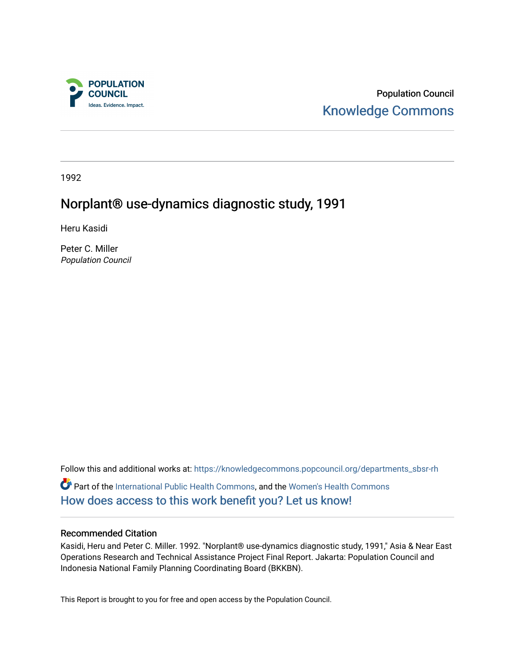

Population Council [Knowledge Commons](https://knowledgecommons.popcouncil.org/) 

1992

# Norplant® use-dynamics diagnostic study, 1991

Heru Kasidi

Peter C. Miller Population Council

Follow this and additional works at: [https://knowledgecommons.popcouncil.org/departments\\_sbsr-rh](https://knowledgecommons.popcouncil.org/departments_sbsr-rh?utm_source=knowledgecommons.popcouncil.org%2Fdepartments_sbsr-rh%2F2141&utm_medium=PDF&utm_campaign=PDFCoverPages)  Part of the [International Public Health Commons](https://network.bepress.com/hgg/discipline/746?utm_source=knowledgecommons.popcouncil.org%2Fdepartments_sbsr-rh%2F2141&utm_medium=PDF&utm_campaign=PDFCoverPages), and the [Women's Health Commons](https://network.bepress.com/hgg/discipline/1241?utm_source=knowledgecommons.popcouncil.org%2Fdepartments_sbsr-rh%2F2141&utm_medium=PDF&utm_campaign=PDFCoverPages) [How does access to this work benefit you? Let us know!](https://pcouncil.wufoo.com/forms/open-access-to-population-council-research/)

#### Recommended Citation

Kasidi, Heru and Peter C. Miller. 1992. "Norplant® use-dynamics diagnostic study, 1991," Asia & Near East Operations Research and Technical Assistance Project Final Report. Jakarta: Population Council and Indonesia National Family Planning Coordinating Board (BKKBN).

This Report is brought to you for free and open access by the Population Council.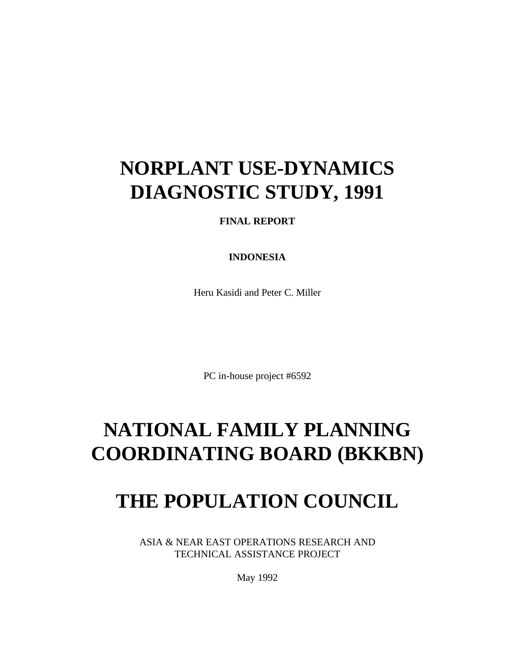# **NORPLANT USE-DYNAMICS DIAGNOSTIC STUDY, 1991**

## **FINAL REPORT**

### **INDONESIA**

Heru Kasidi and Peter C. Miller

PC in-house project #6592

# **NATIONAL FAMILY PLANNING COORDINATING BOARD (BKKBN)**

# **THE POPULATION COUNCIL**

ASIA & NEAR EAST OPERATIONS RESEARCH AND TECHNICAL ASSISTANCE PROJECT

May 1992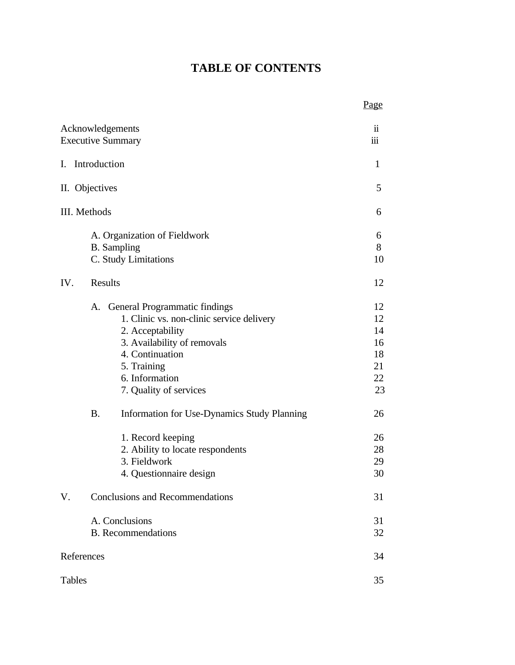## **TABLE OF CONTENTS**

|               |                                                                                                                                                                                                                                                                            | Page                                               |
|---------------|----------------------------------------------------------------------------------------------------------------------------------------------------------------------------------------------------------------------------------------------------------------------------|----------------------------------------------------|
|               | Acknowledgements<br><b>Executive Summary</b>                                                                                                                                                                                                                               | 11<br>111                                          |
| Ι.            | Introduction                                                                                                                                                                                                                                                               | $\mathbf{1}$                                       |
|               | II. Objectives                                                                                                                                                                                                                                                             | 5                                                  |
|               | III. Methods                                                                                                                                                                                                                                                               | 6                                                  |
|               | A. Organization of Fieldwork<br><b>B.</b> Sampling<br>C. Study Limitations                                                                                                                                                                                                 | 6<br>8<br>10                                       |
| IV.           | Results                                                                                                                                                                                                                                                                    | 12                                                 |
|               | A. General Programmatic findings<br>1. Clinic vs. non-clinic service delivery<br>2. Acceptability<br>3. Availability of removals<br>4. Continuation<br>5. Training<br>6. Information<br>7. Quality of services<br><b>B.</b><br>Information for Use-Dynamics Study Planning | 12<br>12<br>14<br>16<br>18<br>21<br>22<br>23<br>26 |
|               | 1. Record keeping<br>2. Ability to locate respondents<br>3. Fieldwork<br>4. Questionnaire design                                                                                                                                                                           | 26<br>28<br>29<br>30                               |
| V.            | <b>Conclusions and Recommendations</b>                                                                                                                                                                                                                                     | 31                                                 |
|               | A. Conclusions<br><b>B.</b> Recommendations                                                                                                                                                                                                                                | 31<br>32                                           |
|               | References                                                                                                                                                                                                                                                                 | 34                                                 |
| <b>Tables</b> |                                                                                                                                                                                                                                                                            | 35                                                 |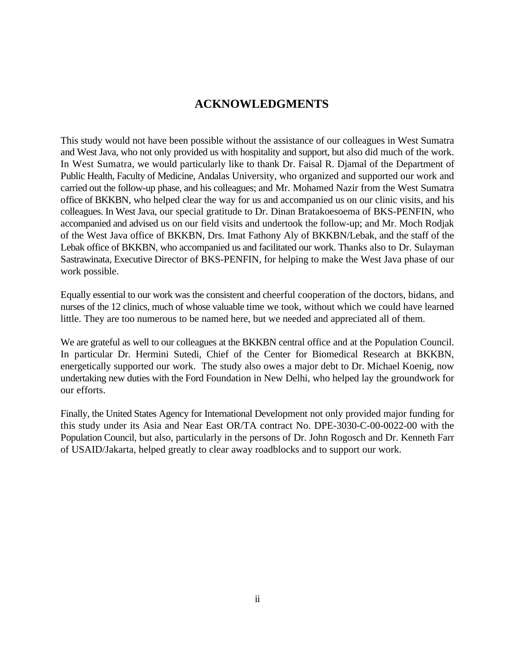## **ACKNOWLEDGMENTS**

This study would not have been possible without the assistance of our colleagues in West Sumatra and West Java, who not only provided us with hospitality and support, but also did much of the work. In West Sumatra, we would particularly like to thank Dr. Faisal R. Djamal of the Department of Public Health, Faculty of Medicine, Andalas University, who organized and supported our work and carried out the follow-up phase, and his colleagues; and Mr. Mohamed Nazir from the West Sumatra office of BKKBN, who helped clear the way for us and accompanied us on our clinic visits, and his colleagues. In West Java, our special gratitude to Dr. Dinan Bratakoesoema of BKS-PENFIN, who accompanied and advised us on our field visits and undertook the follow-up; and Mr. Moch Rodjak of the West Java office of BKKBN, Drs. Imat Fathony Aly of BKKBN/Lebak, and the staff of the Lebak office of BKKBN, who accompanied us and facilitated our work. Thanks also to Dr. Sulayman Sastrawinata, Executive Director of BKS-PENFIN, for helping to make the West Java phase of our work possible.

Equally essential to our work was the consistent and cheerful cooperation of the doctors, bidans, and nurses of the 12 clinics, much of whose valuable time we took, without which we could have learned little. They are too numerous to be named here, but we needed and appreciated all of them.

We are grateful as well to our colleagues at the BKKBN central office and at the Population Council. In particular Dr. Hermini Sutedi, Chief of the Center for Biomedical Research at BKKBN, energetically supported our work. The study also owes a major debt to Dr. Michael Koenig, now undertaking new duties with the Ford Foundation in New Delhi, who helped lay the groundwork for our efforts.

Finally, the United States Agency for International Development not only provided major funding for this study under its Asia and Near East OR/TA contract No. DPE-3030-C-00-0022-00 with the Population Council, but also, particularly in the persons of Dr. John Rogosch and Dr. Kenneth Farr of USAID/Jakarta, helped greatly to clear away roadblocks and to support our work.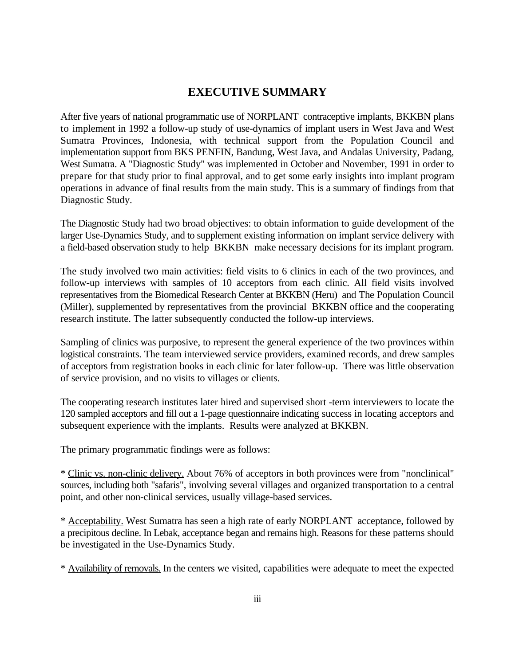## **EXECUTIVE SUMMARY**

After five years of national programmatic use of NORPLANT contraceptive implants, BKKBN plans to implement in 1992 a follow-up study of use-dynamics of implant users in West Java and West Sumatra Provinces, Indonesia, with technical support from the Population Council and implementation support from BKS PENFIN, Bandung, West Java, and Andalas University, Padang, West Sumatra. A "Diagnostic Study" was implemented in October and November, 1991 in order to prepare for that study prior to final approval, and to get some early insights into implant program operations in advance of final results from the main study. This is a summary of findings from that Diagnostic Study.

The Diagnostic Study had two broad objectives: to obtain information to guide development of the larger Use-Dynamics Study, and to supplement existing information on implant service delivery with a field-based observation study to help BKKBN make necessary decisions for its implant program.

The study involved two main activities: field visits to 6 clinics in each of the two provinces, and follow-up interviews with samples of 10 acceptors from each clinic. All field visits involved representatives from the Biomedical Research Center at BKKBN (Heru) and The Population Council (Miller), supplemented by representatives from the provincial BKKBN office and the cooperating research institute. The latter subsequently conducted the follow-up interviews.

Sampling of clinics was purposive, to represent the general experience of the two provinces within logistical constraints. The team interviewed service providers, examined records, and drew samples of acceptors from registration books in each clinic for later follow-up. There was little observation of service provision, and no visits to villages or clients.

The cooperating research institutes later hired and supervised short -term interviewers to locate the 120 sampled acceptors and fill out a 1-page questionnaire indicating success in locating acceptors and subsequent experience with the implants. Results were analyzed at BKKBN.

The primary programmatic findings were as follows:

\* Clinic vs. non-clinic delivery. About 76% of acceptors in both provinces were from "nonclinical" sources, including both "safaris", involving several villages and organized transportation to a central point, and other non-clinical services, usually village-based services.

\* Acceptability. West Sumatra has seen a high rate of early NORPLANT acceptance, followed by a precipitous decline. In Lebak, acceptance began and remains high. Reasons for these patterns should be investigated in the Use-Dynamics Study.

\* Availability of removals. In the centers we visited, capabilities were adequate to meet the expected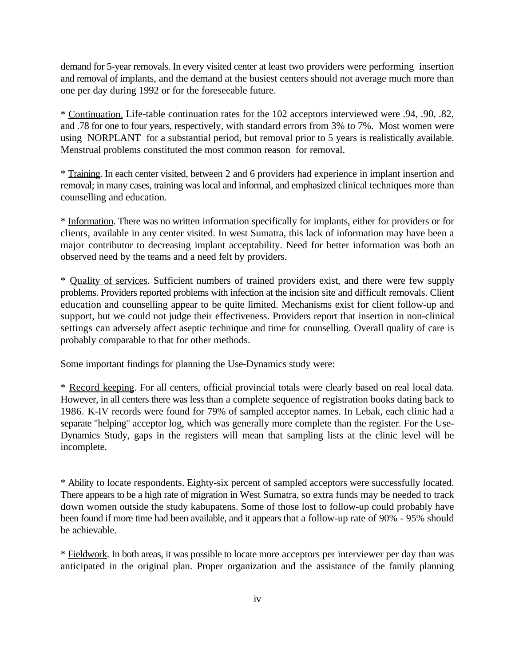demand for 5-year removals. In every visited center at least two providers were performing insertion and removal of implants, and the demand at the busiest centers should not average much more than one per day during 1992 or for the foreseeable future.

\* Continuation. Life-table continuation rates for the 102 acceptors interviewed were .94, .90, .82, and .78 for one to four years, respectively, with standard errors from 3% to 7%. Most women were using NORPLANT for a substantial period, but removal prior to 5 years is realistically available. Menstrual problems constituted the most common reason for removal.

\* Training. In each center visited, between 2 and 6 providers had experience in implant insertion and removal; in many cases, training was local and informal, and emphasized clinical techniques more than counselling and education.

\* Information. There was no written information specifically for implants, either for providers or for clients, available in any center visited. In west Sumatra, this lack of information may have been a major contributor to decreasing implant acceptability. Need for better information was both an observed need by the teams and a need felt by providers.

\* Quality of services. Sufficient numbers of trained providers exist, and there were few supply problems. Providers reported problems with infection at the incision site and difficult removals. Client education and counselling appear to be quite limited. Mechanisms exist for client follow-up and support, but we could not judge their effectiveness. Providers report that insertion in non-clinical settings can adversely affect aseptic technique and time for counselling. Overall quality of care is probably comparable to that for other methods.

Some important findings for planning the Use-Dynamics study were:

\* Record keeping. For all centers, official provincial totals were clearly based on real local data. However, in all centers there was less than a complete sequence of registration books dating back to 1986. K-IV records were found for 79% of sampled acceptor names. In Lebak, each clinic had a separate "helping" acceptor log, which was generally more complete than the register. For the Use-Dynamics Study, gaps in the registers will mean that sampling lists at the clinic level will be incomplete.

\* Ability to locate respondents. Eighty-six percent of sampled acceptors were successfully located. There appears to be a high rate of migration in West Sumatra, so extra funds may be needed to track down women outside the study kabupatens. Some of those lost to follow-up could probably have been found if more time had been available, and it appears that a follow-up rate of 90% - 95% should be achievable.

\* Fieldwork. In both areas, it was possible to locate more acceptors per interviewer per day than was anticipated in the original plan. Proper organization and the assistance of the family planning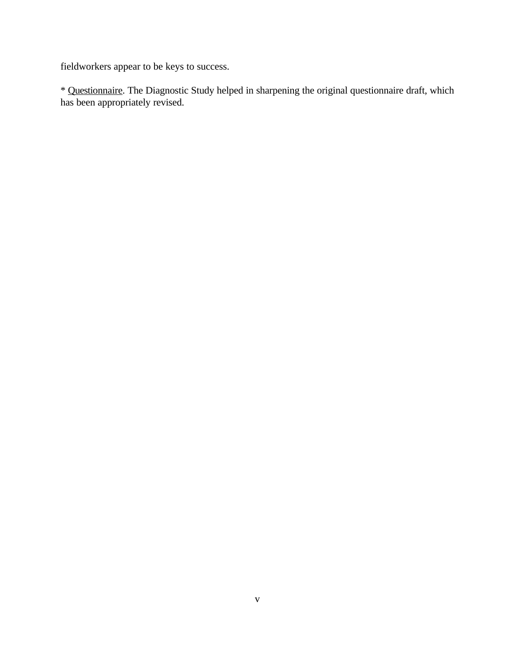fieldworkers appear to be keys to success.

\* Questionnaire. The Diagnostic Study helped in sharpening the original questionnaire draft, which has been appropriately revised.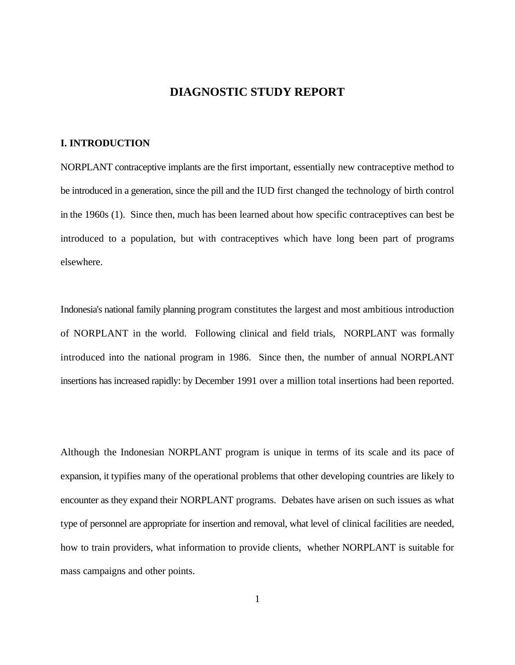## **DIAGNOSTIC STUDY REPORT**

#### **I. INTRODUCTION**

NORPLANT contraceptive implants are the first important, essentially new contraceptive method to be introduced in a generation, since the pill and the IUD first changed the technology of birth control in the 1960s (1). Since then, much has been learned about how specific contraceptives can best be introduced to a population, but with contraceptives which have long been part of programs elsewhere.

Indonesia's national family planning program constitutes the largest and most ambitious introduction of NORPLANT in the world. Following clinical and field trials, NORPLANT was formally introduced into the national program in 1986. Since then, the number of annual NORPLANT insertions has increased rapidly: by December 1991 over a million total insertions had been reported.

Although the Indonesian NORPLANT program is unique in terms of its scale and its pace of expansion, it typifies many of the operational problems that other developing countries are likely to encounter as they expand their NORPLANT programs. Debates have arisen on such issues as what type of personnel are appropriate for insertion and removal, what level of clinical facilities are needed, how to train providers, what information to provide clients, whether NORPLANT is suitable for mass campaigns and other points.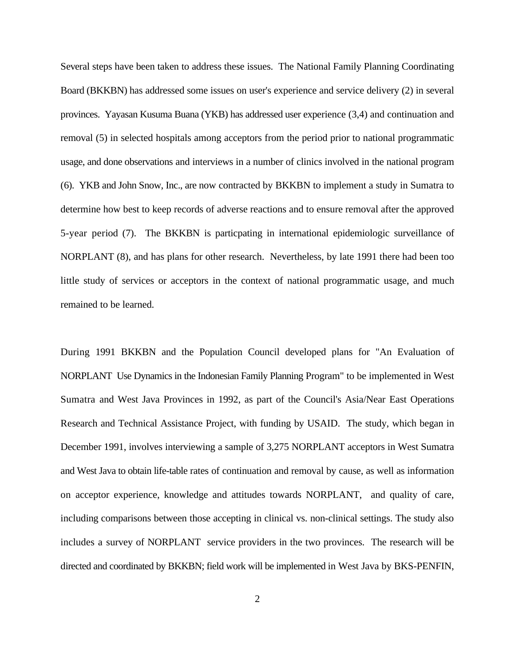Several steps have been taken to address these issues. The National Family Planning Coordinating Board (BKKBN) has addressed some issues on user's experience and service delivery (2) in several provinces. Yayasan Kusuma Buana (YKB) has addressed user experience (3,4) and continuation and removal (5) in selected hospitals among acceptors from the period prior to national programmatic usage, and done observations and interviews in a number of clinics involved in the national program (6). YKB and John Snow, Inc., are now contracted by BKKBN to implement a study in Sumatra to determine how best to keep records of adverse reactions and to ensure removal after the approved 5-year period (7). The BKKBN is particpating in international epidemiologic surveillance of NORPLANT (8), and has plans for other research. Nevertheless, by late 1991 there had been too little study of services or acceptors in the context of national programmatic usage, and much remained to be learned.

During 1991 BKKBN and the Population Council developed plans for "An Evaluation of NORPLANT Use Dynamics in the Indonesian Family Planning Program" to be implemented in West Sumatra and West Java Provinces in 1992, as part of the Council's Asia/Near East Operations Research and Technical Assistance Project, with funding by USAID. The study, which began in December 1991, involves interviewing a sample of 3,275 NORPLANT acceptors in West Sumatra and West Java to obtain life-table rates of continuation and removal by cause, as well as information on acceptor experience, knowledge and attitudes towards NORPLANT, and quality of care, including comparisons between those accepting in clinical vs. non-clinical settings. The study also includes a survey of NORPLANT service providers in the two provinces. The research will be directed and coordinated by BKKBN; field work will be implemented in West Java by BKS-PENFIN,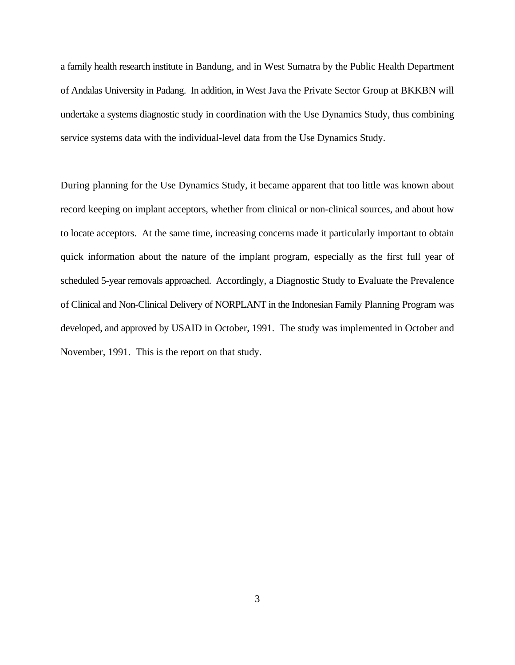a family health research institute in Bandung, and in West Sumatra by the Public Health Department of Andalas University in Padang. In addition, in West Java the Private Sector Group at BKKBN will undertake a systems diagnostic study in coordination with the Use Dynamics Study, thus combining service systems data with the individual-level data from the Use Dynamics Study.

During planning for the Use Dynamics Study, it became apparent that too little was known about record keeping on implant acceptors, whether from clinical or non-clinical sources, and about how to locate acceptors. At the same time, increasing concerns made it particularly important to obtain quick information about the nature of the implant program, especially as the first full year of scheduled 5-year removals approached. Accordingly, a Diagnostic Study to Evaluate the Prevalence of Clinical and Non-Clinical Delivery of NORPLANT in the Indonesian Family Planning Program was developed, and approved by USAID in October, 1991. The study was implemented in October and November, 1991. This is the report on that study.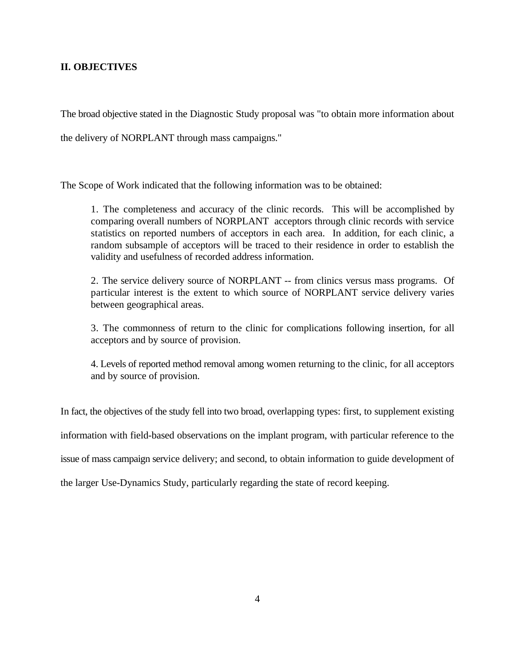#### **II. OBJECTIVES**

The broad objective stated in the Diagnostic Study proposal was "to obtain more information about

the delivery of NORPLANT through mass campaigns."

The Scope of Work indicated that the following information was to be obtained:

1. The completeness and accuracy of the clinic records. This will be accomplished by comparing overall numbers of NORPLANT acceptors through clinic records with service statistics on reported numbers of acceptors in each area. In addition, for each clinic, a random subsample of acceptors will be traced to their residence in order to establish the validity and usefulness of recorded address information.

2. The service delivery source of NORPLANT -- from clinics versus mass programs. Of particular interest is the extent to which source of NORPLANT service delivery varies between geographical areas.

3. The commonness of return to the clinic for complications following insertion, for all acceptors and by source of provision.

4. Levels of reported method removal among women returning to the clinic, for all acceptors and by source of provision.

In fact, the objectives of the study fell into two broad, overlapping types: first, to supplement existing

information with field-based observations on the implant program, with particular reference to the

issue of mass campaign service delivery; and second, to obtain information to guide development of

the larger Use-Dynamics Study, particularly regarding the state of record keeping.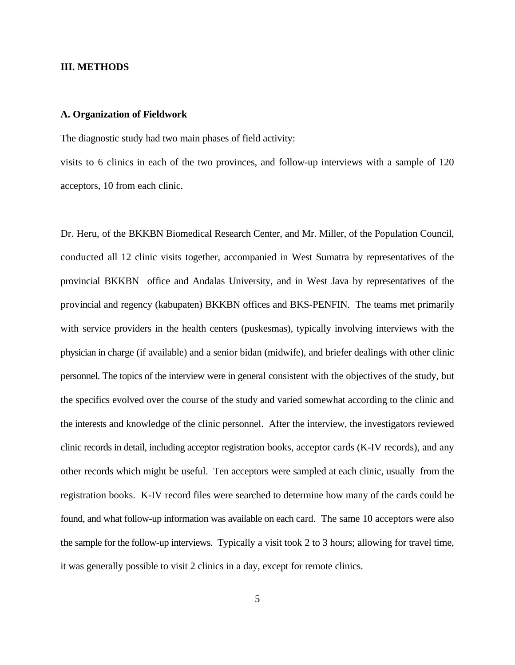#### **III. METHODS**

#### **A. Organization of Fieldwork**

The diagnostic study had two main phases of field activity:

visits to 6 clinics in each of the two provinces, and follow-up interviews with a sample of 120 acceptors, 10 from each clinic.

Dr. Heru, of the BKKBN Biomedical Research Center, and Mr. Miller, of the Population Council, conducted all 12 clinic visits together, accompanied in West Sumatra by representatives of the provincial BKKBN office and Andalas University, and in West Java by representatives of the provincial and regency (kabupaten) BKKBN offices and BKS-PENFIN. The teams met primarily with service providers in the health centers (puskesmas), typically involving interviews with the physician in charge (if available) and a senior bidan (midwife), and briefer dealings with other clinic personnel. The topics of the interview were in general consistent with the objectives of the study, but the specifics evolved over the course of the study and varied somewhat according to the clinic and the interests and knowledge of the clinic personnel. After the interview, the investigators reviewed clinic records in detail, including acceptor registration books, acceptor cards (K-IV records), and any other records which might be useful. Ten acceptors were sampled at each clinic, usually from the registration books. K-IV record files were searched to determine how many of the cards could be found, and what follow-up information was available on each card. The same 10 acceptors were also the sample for the follow-up interviews. Typically a visit took 2 to 3 hours; allowing for travel time, it was generally possible to visit 2 clinics in a day, except for remote clinics.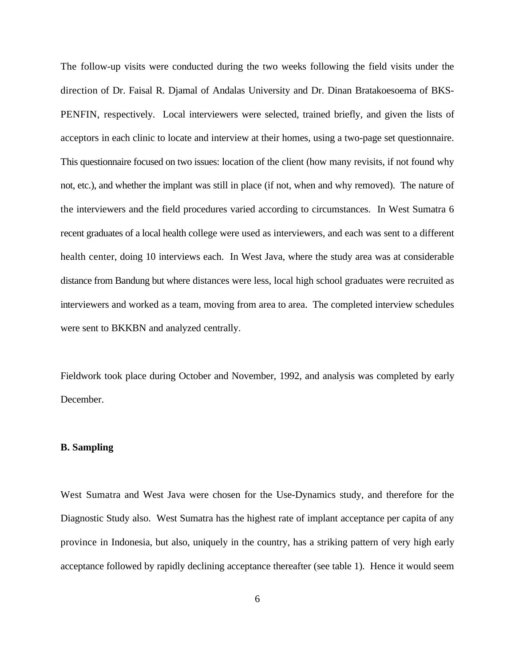The follow-up visits were conducted during the two weeks following the field visits under the direction of Dr. Faisal R. Djamal of Andalas University and Dr. Dinan Bratakoesoema of BKS-PENFIN, respectively. Local interviewers were selected, trained briefly, and given the lists of acceptors in each clinic to locate and interview at their homes, using a two-page set questionnaire. This questionnaire focused on two issues: location of the client (how many revisits, if not found why not, etc.), and whether the implant was still in place (if not, when and why removed). The nature of the interviewers and the field procedures varied according to circumstances. In West Sumatra 6 recent graduates of a local health college were used as interviewers, and each was sent to a different health center, doing 10 interviews each. In West Java, where the study area was at considerable distance from Bandung but where distances were less, local high school graduates were recruited as interviewers and worked as a team, moving from area to area. The completed interview schedules were sent to BKKBN and analyzed centrally.

Fieldwork took place during October and November, 1992, and analysis was completed by early December.

#### **B. Sampling**

West Sumatra and West Java were chosen for the Use-Dynamics study, and therefore for the Diagnostic Study also. West Sumatra has the highest rate of implant acceptance per capita of any province in Indonesia, but also, uniquely in the country, has a striking pattern of very high early acceptance followed by rapidly declining acceptance thereafter (see table 1). Hence it would seem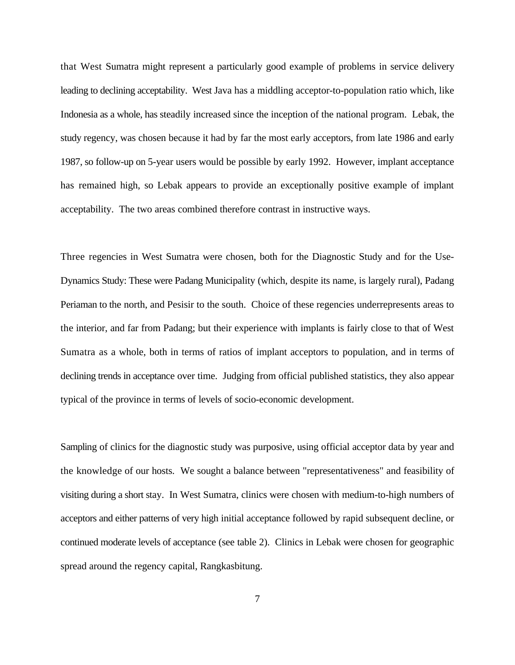that West Sumatra might represent a particularly good example of problems in service delivery leading to declining acceptability. West Java has a middling acceptor-to-population ratio which, like Indonesia as a whole, has steadily increased since the inception of the national program. Lebak, the study regency, was chosen because it had by far the most early acceptors, from late 1986 and early 1987, so follow-up on 5-year users would be possible by early 1992. However, implant acceptance has remained high, so Lebak appears to provide an exceptionally positive example of implant acceptability. The two areas combined therefore contrast in instructive ways.

Three regencies in West Sumatra were chosen, both for the Diagnostic Study and for the Use-Dynamics Study: These were Padang Municipality (which, despite its name, is largely rural), Padang Periaman to the north, and Pesisir to the south. Choice of these regencies underrepresents areas to the interior, and far from Padang; but their experience with implants is fairly close to that of West Sumatra as a whole, both in terms of ratios of implant acceptors to population, and in terms of declining trends in acceptance over time. Judging from official published statistics, they also appear typical of the province in terms of levels of socio-economic development.

Sampling of clinics for the diagnostic study was purposive, using official acceptor data by year and the knowledge of our hosts. We sought a balance between "representativeness" and feasibility of visiting during a short stay. In West Sumatra, clinics were chosen with medium-to-high numbers of acceptors and either patterns of very high initial acceptance followed by rapid subsequent decline, or continued moderate levels of acceptance (see table 2). Clinics in Lebak were chosen for geographic spread around the regency capital, Rangkasbitung.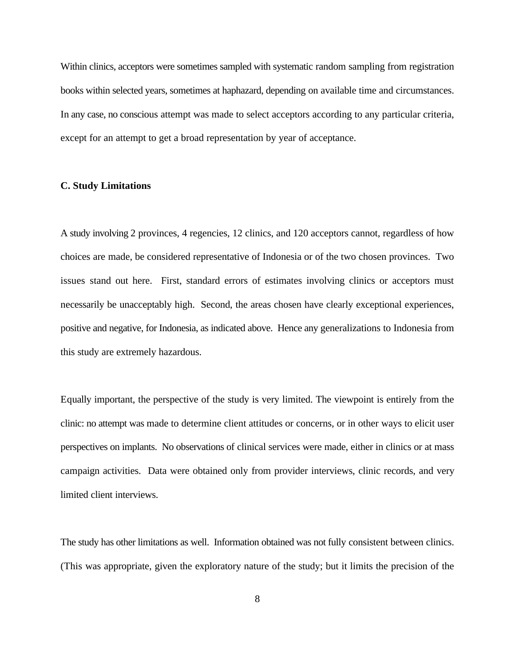Within clinics, acceptors were sometimes sampled with systematic random sampling from registration books within selected years, sometimes at haphazard, depending on available time and circumstances. In any case, no conscious attempt was made to select acceptors according to any particular criteria, except for an attempt to get a broad representation by year of acceptance.

#### **C. Study Limitations**

A study involving 2 provinces, 4 regencies, 12 clinics, and 120 acceptors cannot, regardless of how choices are made, be considered representative of Indonesia or of the two chosen provinces. Two issues stand out here. First, standard errors of estimates involving clinics or acceptors must necessarily be unacceptably high. Second, the areas chosen have clearly exceptional experiences, positive and negative, for Indonesia, as indicated above. Hence any generalizations to Indonesia from this study are extremely hazardous.

Equally important, the perspective of the study is very limited. The viewpoint is entirely from the clinic: no attempt was made to determine client attitudes or concerns, or in other ways to elicit user perspectives on implants. No observations of clinical services were made, either in clinics or at mass campaign activities. Data were obtained only from provider interviews, clinic records, and very limited client interviews.

The study has other limitations as well. Information obtained was not fully consistent between clinics. (This was appropriate, given the exploratory nature of the study; but it limits the precision of the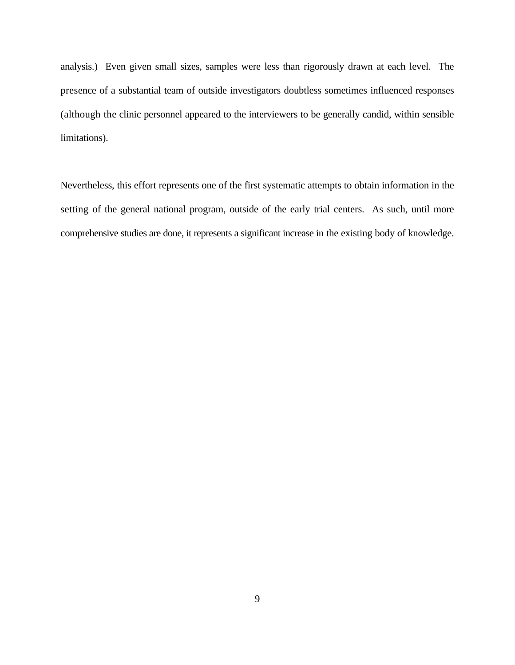analysis.) Even given small sizes, samples were less than rigorously drawn at each level. The presence of a substantial team of outside investigators doubtless sometimes influenced responses (although the clinic personnel appeared to the interviewers to be generally candid, within sensible limitations).

Nevertheless, this effort represents one of the first systematic attempts to obtain information in the setting of the general national program, outside of the early trial centers. As such, until more comprehensive studies are done, it represents a significant increase in the existing body of knowledge.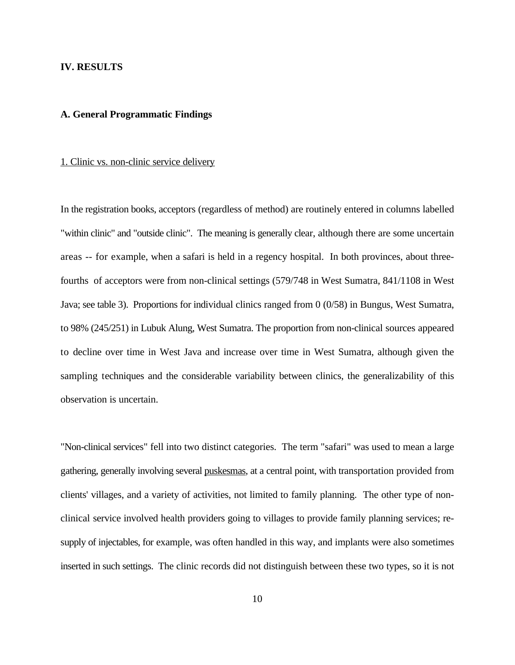#### **IV. RESULTS**

#### **A. General Programmatic Findings**

#### 1. Clinic vs. non-clinic service delivery

In the registration books, acceptors (regardless of method) are routinely entered in columns labelled "within clinic" and "outside clinic". The meaning is generally clear, although there are some uncertain areas -- for example, when a safari is held in a regency hospital. In both provinces, about threefourths of acceptors were from non-clinical settings (579/748 in West Sumatra, 841/1108 in West Java; see table 3). Proportions for individual clinics ranged from 0 (0/58) in Bungus, West Sumatra, to 98% (245/251) in Lubuk Alung, West Sumatra. The proportion from non-clinical sources appeared to decline over time in West Java and increase over time in West Sumatra, although given the sampling techniques and the considerable variability between clinics, the generalizability of this observation is uncertain.

"Non-clinical services" fell into two distinct categories. The term "safari" was used to mean a large gathering, generally involving several puskesmas, at a central point, with transportation provided from clients' villages, and a variety of activities, not limited to family planning. The other type of nonclinical service involved health providers going to villages to provide family planning services; resupply of injectables, for example, was often handled in this way, and implants were also sometimes inserted in such settings. The clinic records did not distinguish between these two types, so it is not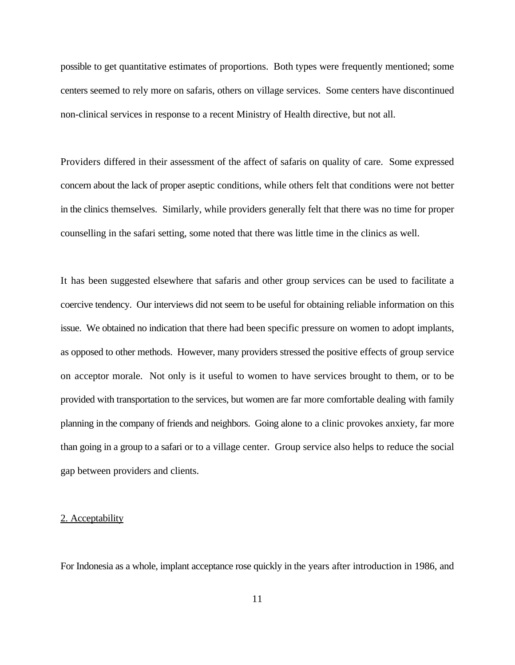possible to get quantitative estimates of proportions. Both types were frequently mentioned; some centers seemed to rely more on safaris, others on village services. Some centers have discontinued non-clinical services in response to a recent Ministry of Health directive, but not all.

Providers differed in their assessment of the affect of safaris on quality of care. Some expressed concern about the lack of proper aseptic conditions, while others felt that conditions were not better in the clinics themselves. Similarly, while providers generally felt that there was no time for proper counselling in the safari setting, some noted that there was little time in the clinics as well.

It has been suggested elsewhere that safaris and other group services can be used to facilitate a coercive tendency. Our interviews did not seem to be useful for obtaining reliable information on this issue. We obtained no indication that there had been specific pressure on women to adopt implants, as opposed to other methods. However, many providers stressed the positive effects of group service on acceptor morale. Not only is it useful to women to have services brought to them, or to be provided with transportation to the services, but women are far more comfortable dealing with family planning in the company of friends and neighbors. Going alone to a clinic provokes anxiety, far more than going in a group to a safari or to a village center. Group service also helps to reduce the social gap between providers and clients.

#### 2. Acceptability

For Indonesia as a whole, implant acceptance rose quickly in the years after introduction in 1986, and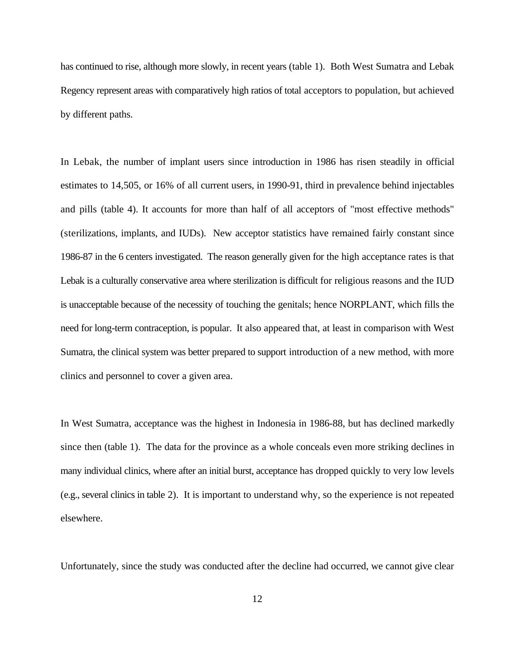has continued to rise, although more slowly, in recent years (table 1). Both West Sumatra and Lebak Regency represent areas with comparatively high ratios of total acceptors to population, but achieved by different paths.

In Lebak, the number of implant users since introduction in 1986 has risen steadily in official estimates to 14,505, or 16% of all current users, in 1990-91, third in prevalence behind injectables and pills (table 4). It accounts for more than half of all acceptors of "most effective methods" (sterilizations, implants, and IUDs). New acceptor statistics have remained fairly constant since 1986-87 in the 6 centers investigated. The reason generally given for the high acceptance rates is that Lebak is a culturally conservative area where sterilization is difficult for religious reasons and the IUD is unacceptable because of the necessity of touching the genitals; hence NORPLANT, which fills the need for long-term contraception, is popular. It also appeared that, at least in comparison with West Sumatra, the clinical system was better prepared to support introduction of a new method, with more clinics and personnel to cover a given area.

In West Sumatra, acceptance was the highest in Indonesia in 1986-88, but has declined markedly since then (table 1). The data for the province as a whole conceals even more striking declines in many individual clinics, where after an initial burst, acceptance has dropped quickly to very low levels (e.g., several clinics in table 2). It is important to understand why, so the experience is not repeated elsewhere.

Unfortunately, since the study was conducted after the decline had occurred, we cannot give clear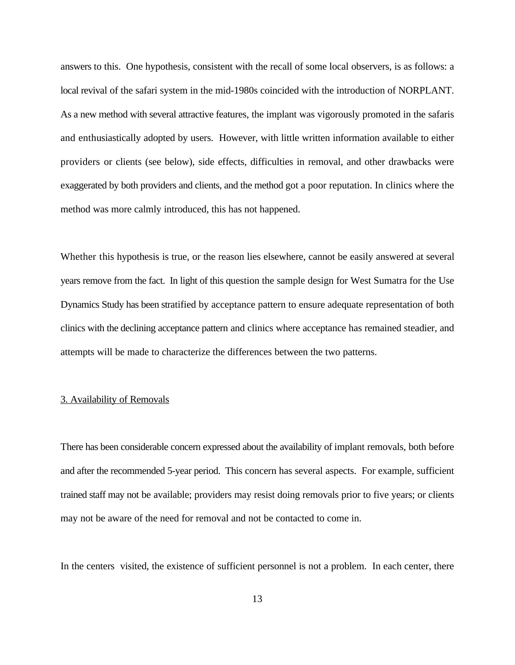answers to this. One hypothesis, consistent with the recall of some local observers, is as follows: a local revival of the safari system in the mid-1980s coincided with the introduction of NORPLANT. As a new method with several attractive features, the implant was vigorously promoted in the safaris and enthusiastically adopted by users. However, with little written information available to either providers or clients (see below), side effects, difficulties in removal, and other drawbacks were exaggerated by both providers and clients, and the method got a poor reputation. In clinics where the method was more calmly introduced, this has not happened.

Whether this hypothesis is true, or the reason lies elsewhere, cannot be easily answered at several years remove from the fact. In light of this question the sample design for West Sumatra for the Use Dynamics Study has been stratified by acceptance pattern to ensure adequate representation of both clinics with the declining acceptance pattern and clinics where acceptance has remained steadier, and attempts will be made to characterize the differences between the two patterns.

#### 3. Availability of Removals

There has been considerable concern expressed about the availability of implant removals, both before and after the recommended 5-year period. This concern has several aspects. For example, sufficient trained staff may not be available; providers may resist doing removals prior to five years; or clients may not be aware of the need for removal and not be contacted to come in.

In the centers visited, the existence of sufficient personnel is not a problem. In each center, there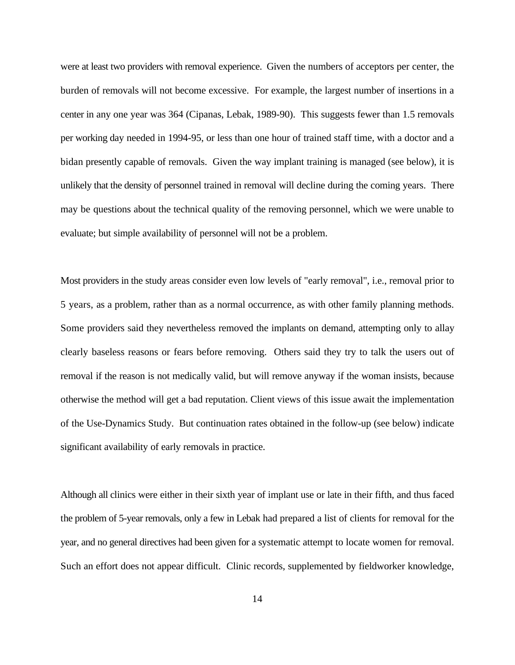were at least two providers with removal experience. Given the numbers of acceptors per center, the burden of removals will not become excessive. For example, the largest number of insertions in a center in any one year was 364 (Cipanas, Lebak, 1989-90). This suggests fewer than 1.5 removals per working day needed in 1994-95, or less than one hour of trained staff time, with a doctor and a bidan presently capable of removals. Given the way implant training is managed (see below), it is unlikely that the density of personnel trained in removal will decline during the coming years. There may be questions about the technical quality of the removing personnel, which we were unable to evaluate; but simple availability of personnel will not be a problem.

Most providers in the study areas consider even low levels of "early removal", i.e., removal prior to 5 years, as a problem, rather than as a normal occurrence, as with other family planning methods. Some providers said they nevertheless removed the implants on demand, attempting only to allay clearly baseless reasons or fears before removing. Others said they try to talk the users out of removal if the reason is not medically valid, but will remove anyway if the woman insists, because otherwise the method will get a bad reputation. Client views of this issue await the implementation of the Use-Dynamics Study. But continuation rates obtained in the follow-up (see below) indicate significant availability of early removals in practice.

Although all clinics were either in their sixth year of implant use or late in their fifth, and thus faced the problem of 5-year removals, only a few in Lebak had prepared a list of clients for removal for the year, and no general directives had been given for a systematic attempt to locate women for removal. Such an effort does not appear difficult. Clinic records, supplemented by fieldworker knowledge,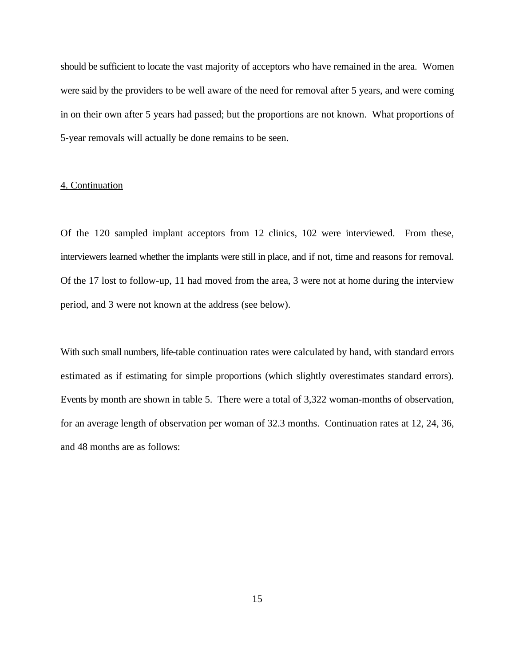should be sufficient to locate the vast majority of acceptors who have remained in the area. Women were said by the providers to be well aware of the need for removal after 5 years, and were coming in on their own after 5 years had passed; but the proportions are not known. What proportions of 5-year removals will actually be done remains to be seen.

#### 4. Continuation

Of the 120 sampled implant acceptors from 12 clinics, 102 were interviewed. From these, interviewers learned whether the implants were still in place, and if not, time and reasons for removal. Of the 17 lost to follow-up, 11 had moved from the area, 3 were not at home during the interview period, and 3 were not known at the address (see below).

With such small numbers, life-table continuation rates were calculated by hand, with standard errors estimated as if estimating for simple proportions (which slightly overestimates standard errors). Events by month are shown in table 5. There were a total of 3,322 woman-months of observation, for an average length of observation per woman of 32.3 months. Continuation rates at 12, 24, 36, and 48 months are as follows: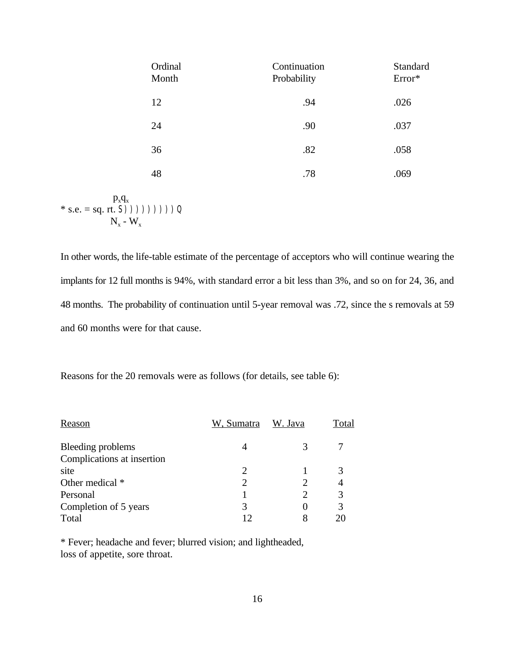| Ordinal<br>Month | Continuation<br>Probability | Standard<br>Error* |
|------------------|-----------------------------|--------------------|
| 12               | .94                         | .026               |
| 24               | .90                         | .037               |
| 36               | .82                         | .058               |
| 48               | .78                         | .069               |
|                  |                             |                    |

 $p_xq_x$ \* s.e. = sq. rt. **S**))))))))))  $N_{x}$  -  $W_{x}$ 

In other words, the life-table estimate of the percentage of acceptors who will continue wearing the implants for 12 full months is 94%, with standard error a bit less than 3%, and so on for 24, 36, and 48 months. The probability of continuation until 5-year removal was .72, since the s removals at 59 and 60 months were for that cause.

Reasons for the 20 removals were as follows (for details, see table 6):

| Reason                     | W, Sumatra    | W. Java | Total |
|----------------------------|---------------|---------|-------|
| Bleeding problems          |               |         |       |
| Complications at insertion |               |         |       |
| site                       | $\mathcal{D}$ |         |       |
| Other medical *            |               |         |       |
| Personal                   |               |         |       |
| Completion of 5 years      | 3             |         |       |
| Total                      |               |         |       |

\* Fever; headache and fever; blurred vision; and lightheaded, loss of appetite, sore throat.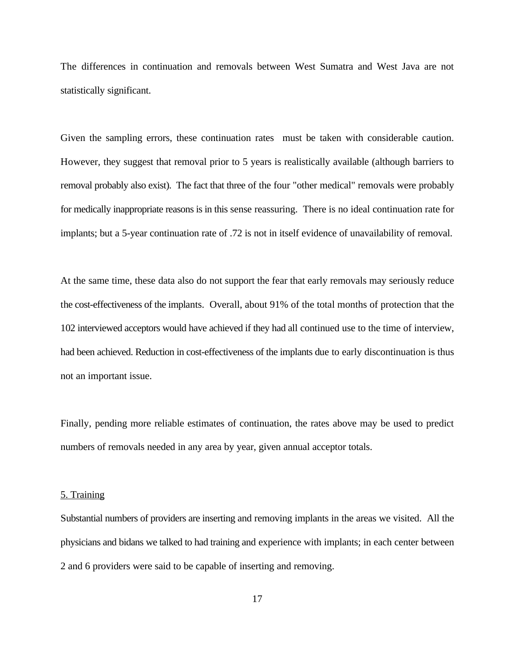The differences in continuation and removals between West Sumatra and West Java are not statistically significant.

Given the sampling errors, these continuation rates must be taken with considerable caution. However, they suggest that removal prior to 5 years is realistically available (although barriers to removal probably also exist). The fact that three of the four "other medical" removals were probably for medically inappropriate reasons is in this sense reassuring. There is no ideal continuation rate for implants; but a 5-year continuation rate of .72 is not in itself evidence of unavailability of removal.

At the same time, these data also do not support the fear that early removals may seriously reduce the cost-effectiveness of the implants. Overall, about 91% of the total months of protection that the 102 interviewed acceptors would have achieved if they had all continued use to the time of interview, had been achieved. Reduction in cost-effectiveness of the implants due to early discontinuation is thus not an important issue.

Finally, pending more reliable estimates of continuation, the rates above may be used to predict numbers of removals needed in any area by year, given annual acceptor totals.

#### 5. Training

Substantial numbers of providers are inserting and removing implants in the areas we visited. All the physicians and bidans we talked to had training and experience with implants; in each center between 2 and 6 providers were said to be capable of inserting and removing.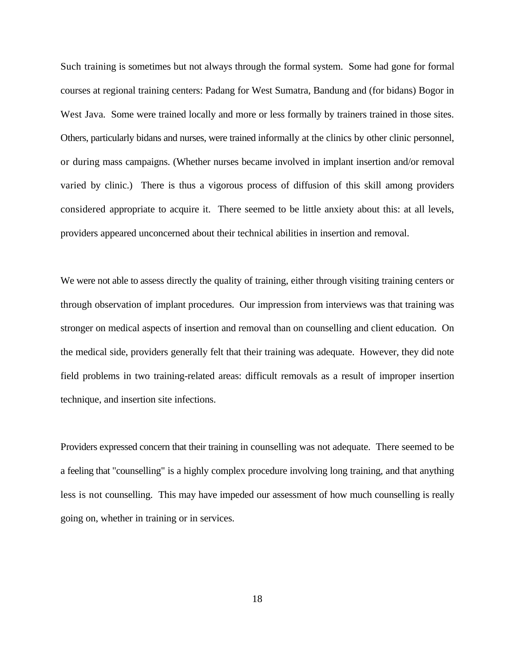Such training is sometimes but not always through the formal system. Some had gone for formal courses at regional training centers: Padang for West Sumatra, Bandung and (for bidans) Bogor in West Java. Some were trained locally and more or less formally by trainers trained in those sites. Others, particularly bidans and nurses, were trained informally at the clinics by other clinic personnel, or during mass campaigns. (Whether nurses became involved in implant insertion and/or removal varied by clinic.) There is thus a vigorous process of diffusion of this skill among providers considered appropriate to acquire it. There seemed to be little anxiety about this: at all levels, providers appeared unconcerned about their technical abilities in insertion and removal.

We were not able to assess directly the quality of training, either through visiting training centers or through observation of implant procedures. Our impression from interviews was that training was stronger on medical aspects of insertion and removal than on counselling and client education. On the medical side, providers generally felt that their training was adequate. However, they did note field problems in two training-related areas: difficult removals as a result of improper insertion technique, and insertion site infections.

Providers expressed concern that their training in counselling was not adequate. There seemed to be a feeling that "counselling" is a highly complex procedure involving long training, and that anything less is not counselling. This may have impeded our assessment of how much counselling is really going on, whether in training or in services.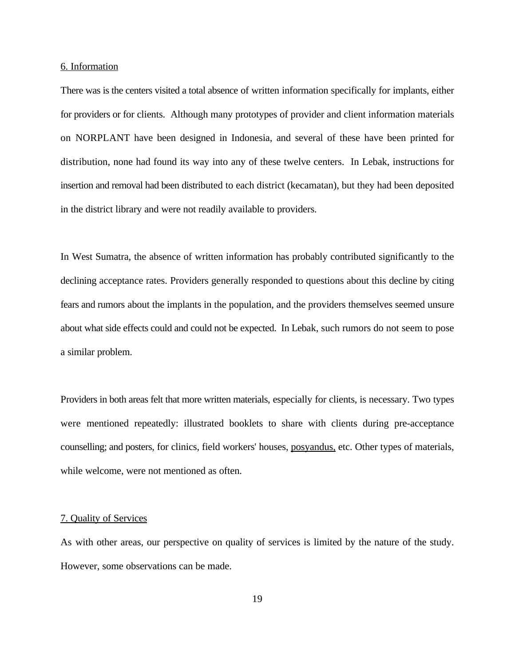#### 6. Information

There was is the centers visited a total absence of written information specifically for implants, either for providers or for clients. Although many prototypes of provider and client information materials on NORPLANT have been designed in Indonesia, and several of these have been printed for distribution, none had found its way into any of these twelve centers. In Lebak, instructions for insertion and removal had been distributed to each district (kecamatan), but they had been deposited in the district library and were not readily available to providers.

In West Sumatra, the absence of written information has probably contributed significantly to the declining acceptance rates. Providers generally responded to questions about this decline by citing fears and rumors about the implants in the population, and the providers themselves seemed unsure about what side effects could and could not be expected. In Lebak, such rumors do not seem to pose a similar problem.

Providers in both areas felt that more written materials, especially for clients, is necessary. Two types were mentioned repeatedly: illustrated booklets to share with clients during pre-acceptance counselling; and posters, for clinics, field workers' houses, posyandus, etc. Other types of materials, while welcome, were not mentioned as often.

#### 7. Quality of Services

As with other areas, our perspective on quality of services is limited by the nature of the study. However, some observations can be made.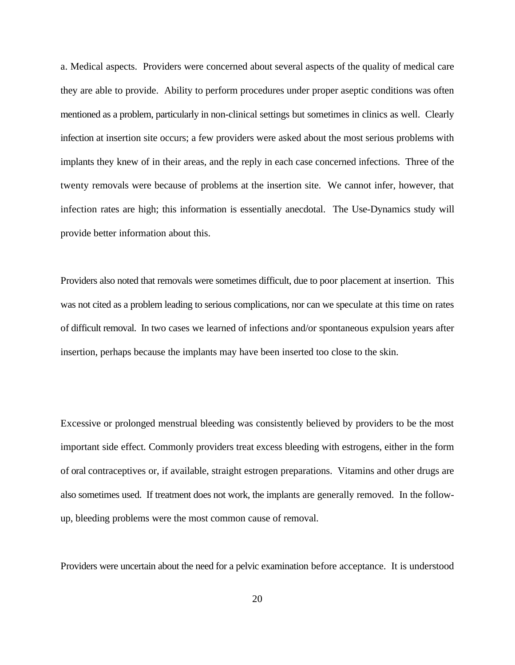a. Medical aspects. Providers were concerned about several aspects of the quality of medical care they are able to provide. Ability to perform procedures under proper aseptic conditions was often mentioned as a problem, particularly in non-clinical settings but sometimes in clinics as well. Clearly infection at insertion site occurs; a few providers were asked about the most serious problems with implants they knew of in their areas, and the reply in each case concerned infections. Three of the twenty removals were because of problems at the insertion site. We cannot infer, however, that infection rates are high; this information is essentially anecdotal. The Use-Dynamics study will provide better information about this.

Providers also noted that removals were sometimes difficult, due to poor placement at insertion. This was not cited as a problem leading to serious complications, nor can we speculate at this time on rates of difficult removal. In two cases we learned of infections and/or spontaneous expulsion years after insertion, perhaps because the implants may have been inserted too close to the skin.

Excessive or prolonged menstrual bleeding was consistently believed by providers to be the most important side effect. Commonly providers treat excess bleeding with estrogens, either in the form of oral contraceptives or, if available, straight estrogen preparations. Vitamins and other drugs are also sometimes used. If treatment does not work, the implants are generally removed. In the followup, bleeding problems were the most common cause of removal.

Providers were uncertain about the need for a pelvic examination before acceptance. It is understood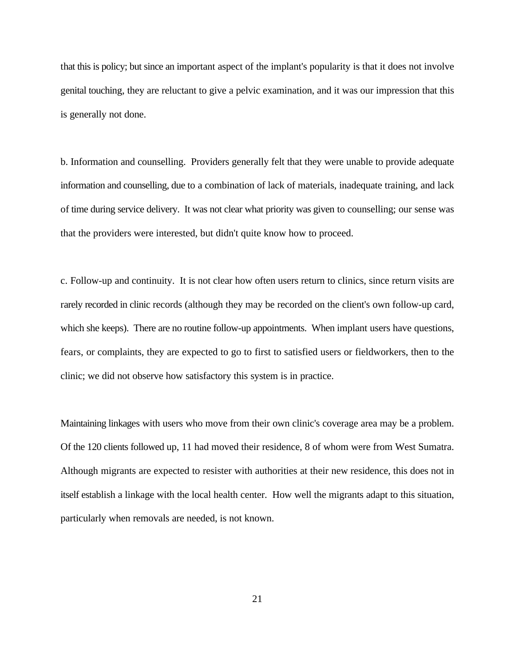that this is policy; but since an important aspect of the implant's popularity is that it does not involve genital touching, they are reluctant to give a pelvic examination, and it was our impression that this is generally not done.

b. Information and counselling. Providers generally felt that they were unable to provide adequate information and counselling, due to a combination of lack of materials, inadequate training, and lack of time during service delivery. It was not clear what priority was given to counselling; our sense was that the providers were interested, but didn't quite know how to proceed.

c. Follow-up and continuity. It is not clear how often users return to clinics, since return visits are rarely recorded in clinic records (although they may be recorded on the client's own follow-up card, which she keeps). There are no routine follow-up appointments. When implant users have questions, fears, or complaints, they are expected to go to first to satisfied users or fieldworkers, then to the clinic; we did not observe how satisfactory this system is in practice.

Maintaining linkages with users who move from their own clinic's coverage area may be a problem. Of the 120 clients followed up, 11 had moved their residence, 8 of whom were from West Sumatra. Although migrants are expected to resister with authorities at their new residence, this does not in itself establish a linkage with the local health center. How well the migrants adapt to this situation, particularly when removals are needed, is not known.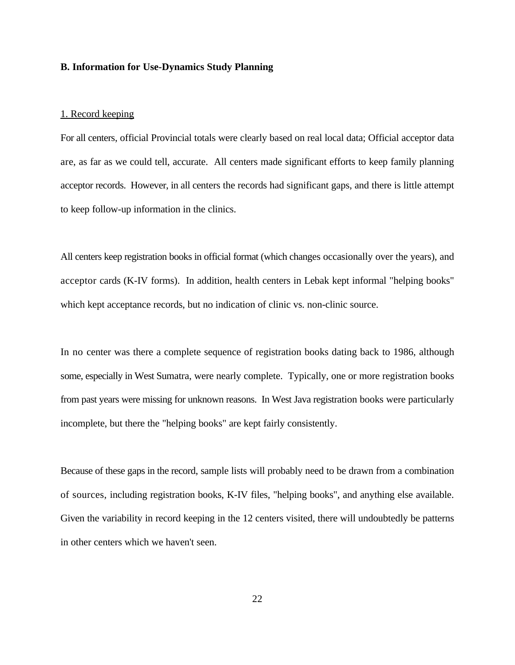#### **B. Information for Use-Dynamics Study Planning**

#### 1. Record keeping

For all centers, official Provincial totals were clearly based on real local data; Official acceptor data are, as far as we could tell, accurate. All centers made significant efforts to keep family planning acceptor records. However, in all centers the records had significant gaps, and there is little attempt to keep follow-up information in the clinics.

All centers keep registration books in official format (which changes occasionally over the years), and acceptor cards (K-IV forms). In addition, health centers in Lebak kept informal "helping books" which kept acceptance records, but no indication of clinic vs. non-clinic source.

In no center was there a complete sequence of registration books dating back to 1986, although some, especially in West Sumatra, were nearly complete. Typically, one or more registration books from past years were missing for unknown reasons. In West Java registration books were particularly incomplete, but there the "helping books" are kept fairly consistently.

Because of these gaps in the record, sample lists will probably need to be drawn from a combination of sources, including registration books, K-IV files, "helping books", and anything else available. Given the variability in record keeping in the 12 centers visited, there will undoubtedly be patterns in other centers which we haven't seen.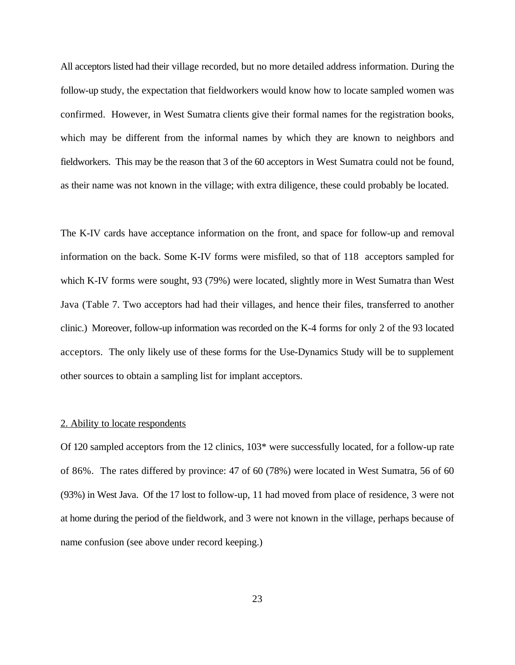All acceptors listed had their village recorded, but no more detailed address information. During the follow-up study, the expectation that fieldworkers would know how to locate sampled women was confirmed. However, in West Sumatra clients give their formal names for the registration books, which may be different from the informal names by which they are known to neighbors and fieldworkers. This may be the reason that 3 of the 60 acceptors in West Sumatra could not be found, as their name was not known in the village; with extra diligence, these could probably be located.

The K-IV cards have acceptance information on the front, and space for follow-up and removal information on the back. Some K-IV forms were misfiled, so that of 118 acceptors sampled for which K-IV forms were sought, 93 (79%) were located, slightly more in West Sumatra than West Java (Table 7. Two acceptors had had their villages, and hence their files, transferred to another clinic.) Moreover, follow-up information was recorded on the K-4 forms for only 2 of the 93 located acceptors. The only likely use of these forms for the Use-Dynamics Study will be to supplement other sources to obtain a sampling list for implant acceptors.

#### 2. Ability to locate respondents

Of 120 sampled acceptors from the 12 clinics, 103\* were successfully located, for a follow-up rate of 86%. The rates differed by province: 47 of 60 (78%) were located in West Sumatra, 56 of 60 (93%) in West Java. Of the 17 lost to follow-up, 11 had moved from place of residence, 3 were not at home during the period of the fieldwork, and 3 were not known in the village, perhaps because of name confusion (see above under record keeping.)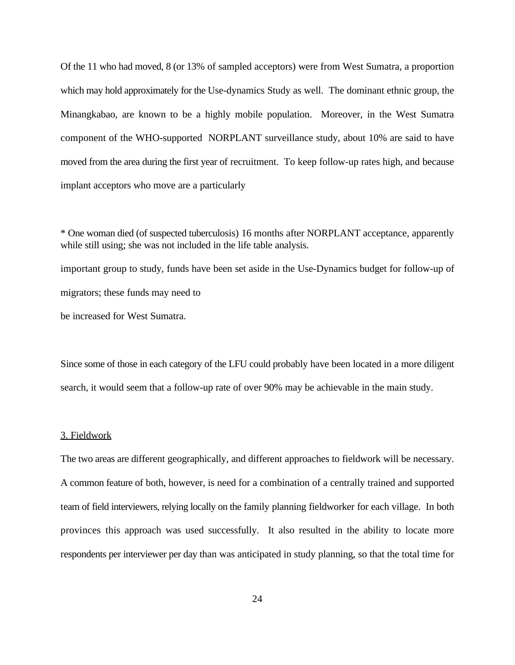Of the 11 who had moved, 8 (or 13% of sampled acceptors) were from West Sumatra, a proportion which may hold approximately for the Use-dynamics Study as well. The dominant ethnic group, the Minangkabao, are known to be a highly mobile population. Moreover, in the West Sumatra component of the WHO-supported NORPLANT surveillance study, about 10% are said to have moved from the area during the first year of recruitment. To keep follow-up rates high, and because implant acceptors who move are a particularly

\* One woman died (of suspected tuberculosis) 16 months after NORPLANT acceptance, apparently while still using; she was not included in the life table analysis. important group to study, funds have been set aside in the Use-Dynamics budget for follow-up of migrators; these funds may need to be increased for West Sumatra.

Since some of those in each category of the LFU could probably have been located in a more diligent search, it would seem that a follow-up rate of over 90% may be achievable in the main study.

#### 3. Fieldwork

The two areas are different geographically, and different approaches to fieldwork will be necessary. A common feature of both, however, is need for a combination of a centrally trained and supported team of field interviewers, relying locally on the family planning fieldworker for each village. In both provinces this approach was used successfully. It also resulted in the ability to locate more respondents per interviewer per day than was anticipated in study planning, so that the total time for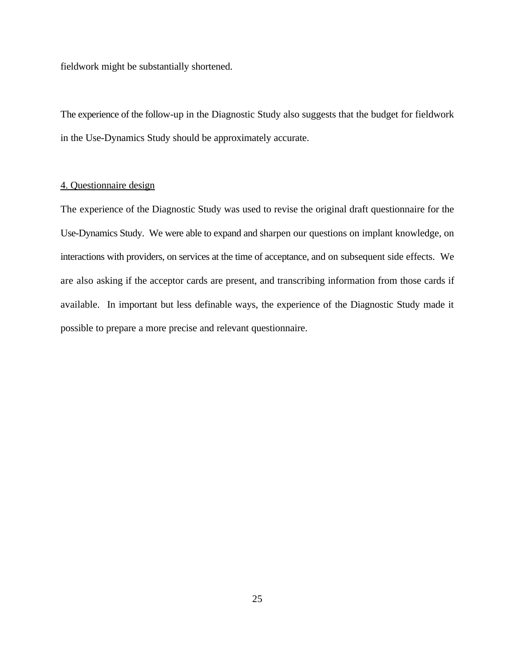fieldwork might be substantially shortened.

The experience of the follow-up in the Diagnostic Study also suggests that the budget for fieldwork in the Use-Dynamics Study should be approximately accurate.

#### 4. Questionnaire design

The experience of the Diagnostic Study was used to revise the original draft questionnaire for the Use-Dynamics Study. We were able to expand and sharpen our questions on implant knowledge, on interactions with providers, on services at the time of acceptance, and on subsequent side effects. We are also asking if the acceptor cards are present, and transcribing information from those cards if available. In important but less definable ways, the experience of the Diagnostic Study made it possible to prepare a more precise and relevant questionnaire.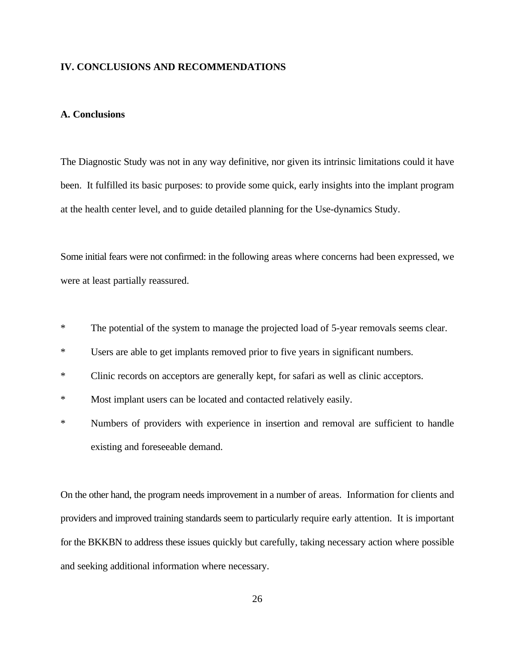#### **IV. CONCLUSIONS AND RECOMMENDATIONS**

#### **A. Conclusions**

The Diagnostic Study was not in any way definitive, nor given its intrinsic limitations could it have been. It fulfilled its basic purposes: to provide some quick, early insights into the implant program at the health center level, and to guide detailed planning for the Use-dynamics Study.

Some initial fears were not confirmed: in the following areas where concerns had been expressed, we were at least partially reassured.

- \* The potential of the system to manage the projected load of 5-year removals seems clear.
- \* Users are able to get implants removed prior to five years in significant numbers.
- \* Clinic records on acceptors are generally kept, for safari as well as clinic acceptors.
- \* Most implant users can be located and contacted relatively easily.
- \* Numbers of providers with experience in insertion and removal are sufficient to handle existing and foreseeable demand.

On the other hand, the program needs improvement in a number of areas. Information for clients and providers and improved training standards seem to particularly require early attention. It is important for the BKKBN to address these issues quickly but carefully, taking necessary action where possible and seeking additional information where necessary.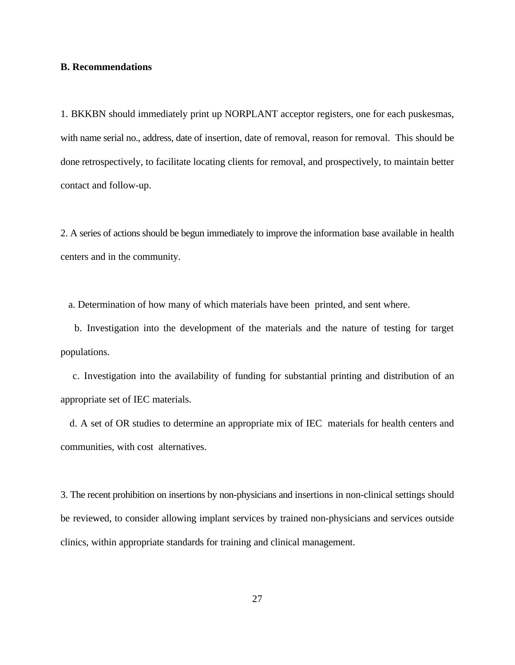#### **B. Recommendations**

1. BKKBN should immediately print up NORPLANT acceptor registers, one for each puskesmas, with name serial no., address, date of insertion, date of removal, reason for removal. This should be done retrospectively, to facilitate locating clients for removal, and prospectively, to maintain better contact and follow-up.

2. A series of actions should be begun immediately to improve the information base available in health centers and in the community.

a. Determination of how many of which materials have been printed, and sent where.

 b. Investigation into the development of the materials and the nature of testing for target populations.

 c. Investigation into the availability of funding for substantial printing and distribution of an appropriate set of IEC materials.

 d. A set of OR studies to determine an appropriate mix of IEC materials for health centers and communities, with cost alternatives.

3. The recent prohibition on insertions by non-physicians and insertions in non-clinical settings should be reviewed, to consider allowing implant services by trained non-physicians and services outside clinics, within appropriate standards for training and clinical management.

27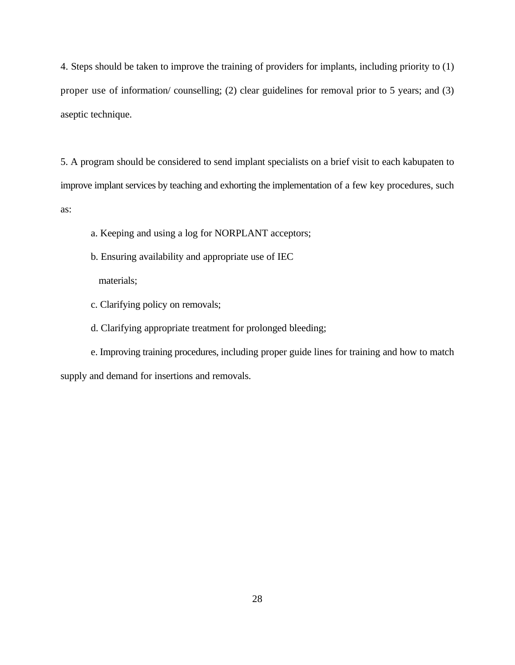4. Steps should be taken to improve the training of providers for implants, including priority to (1) proper use of information/ counselling; (2) clear guidelines for removal prior to 5 years; and (3) aseptic technique.

5. A program should be considered to send implant specialists on a brief visit to each kabupaten to improve implant services by teaching and exhorting the implementation of a few key procedures, such as:

- a. Keeping and using a log for NORPLANT acceptors;
- b. Ensuring availability and appropriate use of IEC

materials;

c. Clarifying policy on removals;

d. Clarifying appropriate treatment for prolonged bleeding;

e. Improving training procedures, including proper guide lines for training and how to match supply and demand for insertions and removals.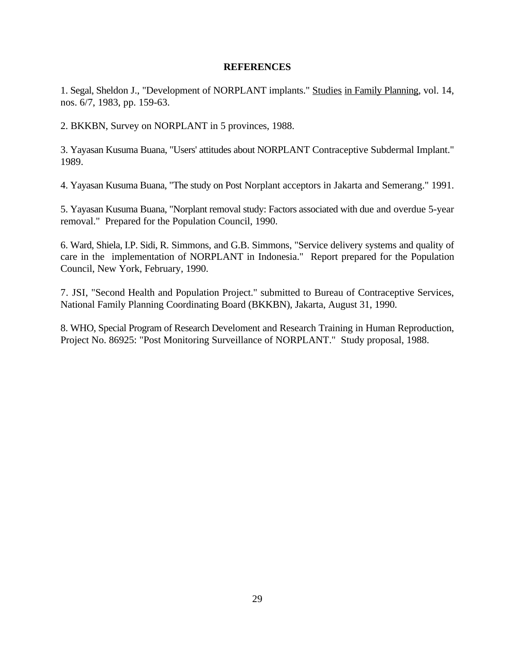#### **REFERENCES**

1. Segal, Sheldon J., "Development of NORPLANT implants." Studies in Family Planning, vol. 14, nos. 6/7, 1983, pp. 159-63.

2. BKKBN, Survey on NORPLANT in 5 provinces, 1988.

3. Yayasan Kusuma Buana, "Users' attitudes about NORPLANT Contraceptive Subdermal Implant." 1989.

4. Yayasan Kusuma Buana, "The study on Post Norplant acceptors in Jakarta and Semerang." 1991.

5. Yayasan Kusuma Buana, "Norplant removal study: Factors associated with due and overdue 5-year removal." Prepared for the Population Council, 1990.

6. Ward, Shiela, I.P. Sidi, R. Simmons, and G.B. Simmons, "Service delivery systems and quality of care in the implementation of NORPLANT in Indonesia." Report prepared for the Population Council, New York, February, 1990.

7. JSI, "Second Health and Population Project." submitted to Bureau of Contraceptive Services, National Family Planning Coordinating Board (BKKBN), Jakarta, August 31, 1990.

8. WHO, Special Program of Research Develoment and Research Training in Human Reproduction, Project No. 86925: "Post Monitoring Surveillance of NORPLANT." Study proposal, 1988.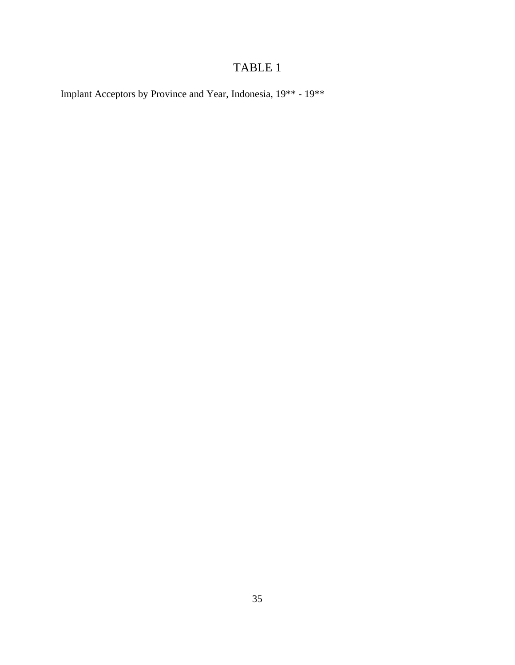# TABLE 1

Implant Acceptors by Province and Year, Indonesia, 19\*\* - 19\*\*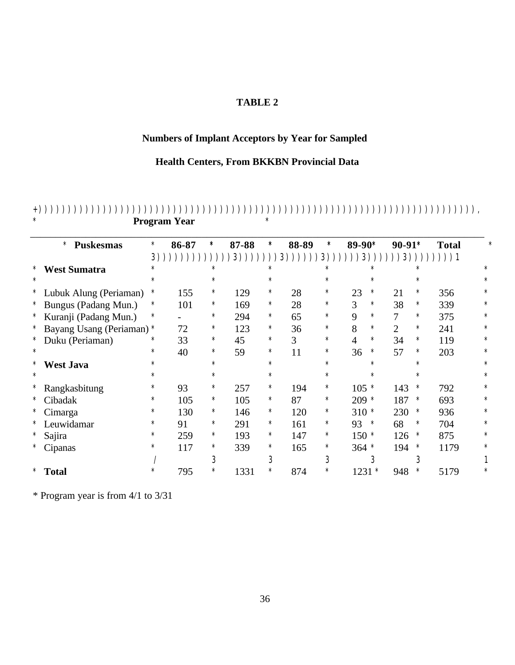## **TABLE 2**

## **Numbers of Implant Acceptors by Year for Sampled**

### **Health Centers, From BKKBN Provincial Data**

|        | <b>Puskesmas</b><br>$\ast$ | $\ast$ | 86-87 | $\ast$ | 87-88 | $\ast$ | 88-89        | $\ast$ | 89-90*  |        | $90-91*$       |        | <b>Total</b> | $\ast$  |
|--------|----------------------------|--------|-------|--------|-------|--------|--------------|--------|---------|--------|----------------|--------|--------------|---------|
|        |                            |        | 3)))) |        | 3))   |        | 3)<br>$)$ )) | 3))    |         |        |                |        |              |         |
| ∗      | <b>West Sumatra</b>        | $\ast$ |       | $\ast$ |       | $\ast$ |              | $\ast$ |         | $\ast$ |                | $\ast$ |              | $\ast$  |
| $\ast$ |                            | $\ast$ |       | $\ast$ |       | $\ast$ |              | $\ast$ |         | $\ast$ |                | $\ast$ |              | $\ast$  |
| $\ast$ | Lubuk Alung (Periaman)     | $\ast$ | 155   | $\ast$ | 129   | $\ast$ | 28           | $\ast$ | 23      | $\ast$ | 21             | $\ast$ | 356          | $\ast$  |
|        | * Bungus (Padang Mun.)     | $\ast$ | 101   | $\ast$ | 169   | $\ast$ | 28           | $\ast$ | 3       | $\ast$ | 38             | $\ast$ | 339          | $\ast$  |
|        | * Kuranji (Padang Mun.)    | $\ast$ |       | $\ast$ | 294   | $\ast$ | 65           | $\ast$ | 9       | $\ast$ | 7              | $\ast$ | 375          | $\ast$  |
| ∗      | Bayang Usang (Periaman)    | $\ast$ | 72    | $\ast$ | 123   | $\ast$ | 36           | $\ast$ | 8       | $\ast$ | $\overline{2}$ | $\ast$ | 241          | $\ast$  |
| ∗      | Duku (Periaman)            | $\ast$ | 33    | $\ast$ | 45    | $\ast$ | 3            | $\ast$ | 4       | $\ast$ | 34             | $\ast$ | 119          | $\ast$  |
| $\ast$ |                            | $\ast$ | 40    | $\ast$ | 59    | $\ast$ | 11           | $\ast$ | 36      | $\ast$ | 57             | $\ast$ | 203          | $\ast$  |
| $\ast$ | <b>West Java</b>           | $\ast$ |       | $\ast$ |       | $\ast$ |              | $\ast$ |         | $\ast$ |                | $\ast$ |              | $^\ast$ |
| $\ast$ |                            | $\ast$ |       | $\ast$ |       | $\ast$ |              | $\ast$ |         | $\ast$ |                | $\ast$ |              | $\ast$  |
| ∗      | Rangkasbitung              | *      | 93    | $\ast$ | 257   | $\ast$ | 194          | $\ast$ | 105     | $\ast$ | 143            | $\ast$ | 792          | $\ast$  |
| $\ast$ | Cibadak                    | $\ast$ | 105   | $\ast$ | 105   | $\ast$ | 87           | $\ast$ | 209     | $\ast$ | 187            | ∗      | 693          | $\ast$  |
| $\ast$ | Cimarga                    | $\ast$ | 130   | $\ast$ | 146   | $\ast$ | 120          | $\ast$ | 310     | $\ast$ | 230            | $\ast$ | 936          | $\ast$  |
|        | * Leuwidamar               | $\ast$ | 91    | $\ast$ | 291   | $\ast$ | 161          | $\ast$ | 93      | $\ast$ | 68             | $\ast$ | 704          | $\ast$  |
| ∗      | Sajira                     | $\ast$ | 259   | $\ast$ | 193   | $\ast$ | 147          | $\ast$ | 150     | $\ast$ | 126            | $\ast$ | 875          | $\ast$  |
|        | Cipanas                    | *      | 117   | $\ast$ | 339   | $\ast$ | 165          | $\ast$ | $364 *$ |        | 194            | $\ast$ | 1179         | $\ast$  |
|        |                            |        |       | 3      |       | 3      |              | 3      |         | 3      |                | 3      |              |         |
| $\ast$ | <b>Total</b>               | $\ast$ | 795   | $\ast$ | 1331  | $\ast$ | 874          | $\ast$ | 1231    | ∗      | 948            | $\ast$ | 5179         | $\ast$  |

#### +))))))))))))))))))))))))))))))))))))))))))))))))))))))))))))))))))))))))))), \* **Program Year** \*

\* Program year is from 4/1 to 3/31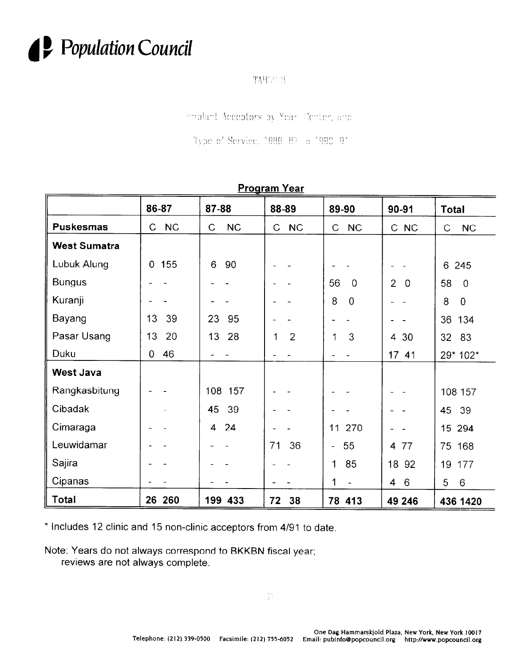

TABUL 3

implant Acceptors by Mean Center, and

Type of Service, 1986 87 o 1990 91

| <u> Program Year</u> |                           |                           |                     |                         |                                  |                           |  |
|----------------------|---------------------------|---------------------------|---------------------|-------------------------|----------------------------------|---------------------------|--|
|                      | 86-87                     | 87-88                     | 88-89               | 89-90                   | 90-91                            | <b>Total</b>              |  |
| <b>Puskesmas</b>     | <b>NC</b><br>$\mathsf{C}$ | <b>NC</b><br>$\mathsf{C}$ | <b>NC</b><br>C      | NC<br>$\mathsf{C}$      | C NC                             | $\mathsf{C}$<br><b>NC</b> |  |
| <b>West Sumatra</b>  |                           |                           |                     |                         |                                  |                           |  |
| Lubuk Alung          | 155<br>$\overline{0}$     | 6<br>90                   |                     |                         |                                  | 245<br>6                  |  |
| <b>Bungus</b>        |                           |                           |                     | 56<br>$\overline{0}$    | $\overline{2}$<br>$\overline{0}$ | 58<br>$\overline{0}$      |  |
| Kuranji              |                           |                           |                     | 8<br>$\overline{0}$     |                                  | 8<br>$\overline{0}$       |  |
| Bayang               | 13<br>39                  | 23<br>95                  |                     |                         |                                  | 36<br>134                 |  |
| Pasar Usang          | 13<br>20                  | 13<br>28                  | $\overline{2}$<br>1 | 3<br>1                  | 30<br>$\overline{4}$             | 32<br>83                  |  |
| Duku                 | 46<br>$\overline{0}$      |                           |                     |                         | 17 41                            | 29* 102*                  |  |
| <b>West Java</b>     |                           |                           |                     |                         |                                  |                           |  |
| Rangkasbitung        |                           | 108 157                   |                     |                         |                                  | 108 157                   |  |
| Cibadak              |                           | 45<br>39                  |                     |                         |                                  | 45<br>39                  |  |
| Cimaraga             |                           | 24<br>4                   |                     | 270<br>11               |                                  | 15 294                    |  |
| Leuwidamar           |                           |                           | 71<br>36            | 55<br>$\qquad \qquad -$ | 77<br>4                          | 75<br>168                 |  |
| Sajira               |                           |                           |                     | 85<br>1                 | 18 <sup>°</sup><br>92            | 19<br>177                 |  |
| Cipanas              |                           |                           |                     | 1<br>$\blacksquare$     | 6<br>4                           | 5<br>$\,6\,$              |  |
| Total                | 26 260                    | 199 433                   | 38<br>72            | 78 413                  | 49 246                           | 436 1420                  |  |

\* Includes 12 clinic and 15 non-clinic acceptors from 4191 to date

Note: Years do not always correspond to BKKBN fiscal year; reviews are not always complete.

 $\frac{\partial \mathcal{H}}{\partial \mathcal{F}}$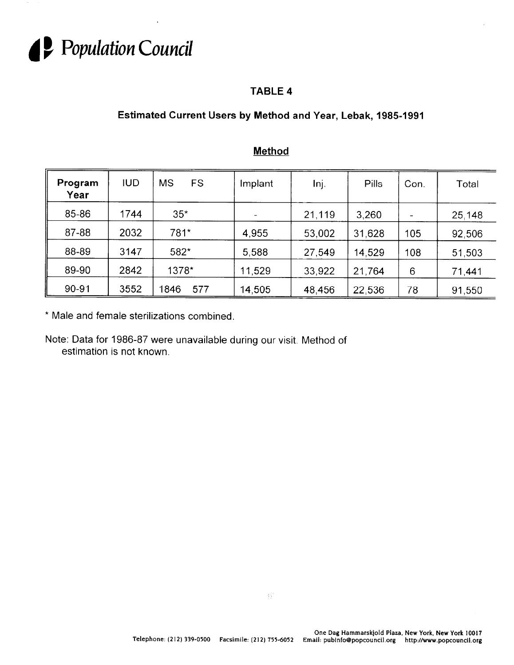

## **TABLE 4**

## **Estimated Current Users by Method and Year, Lebak, 1985-1991**

| Program<br>Year | <b>IUD</b> | <b>MS</b><br>FS | Implant | Inj.   | Pills  | Con. | Total  |
|-----------------|------------|-----------------|---------|--------|--------|------|--------|
| 85-86           | 1744       | $35*$           |         | 21.119 | 3,260  |      | 25,148 |
| 87-88           | 2032       | 781*            | 4,955   | 53,002 | 31,628 | 105  | 92,506 |
| 88-89           | 3147       | 582*            | 5,588   | 27,549 | 14,529 | 108  | 51,503 |
| 89-90           | 2842       | 1378*           | 11,529  | 33,922 | 21,764 | 6    | 71,441 |
| 90-91           | 3552       | 1846<br>577     | 14,505  | 48,456 | 22,536 | 78   | 91,550 |

## **Method**

\* Male and female sterilizations combined.

Note: Data for 1986-87 were unavailable during our visit. Method of estimation is not known.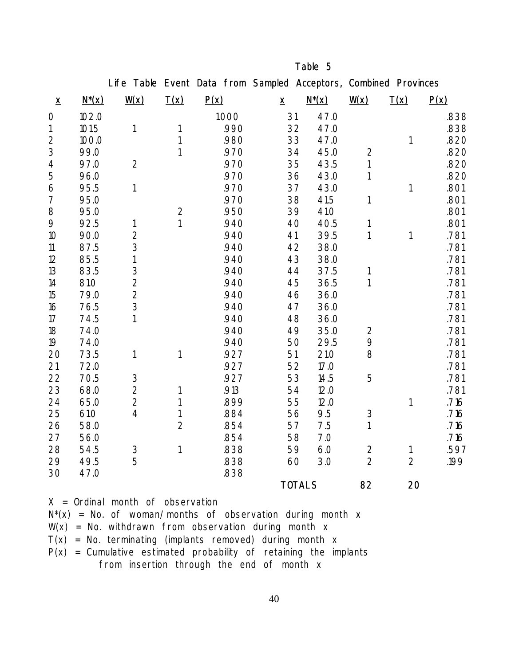|                              |              | Life Table              |                | Event Data from Sampled Acceptors, Combined Provinces |              |               |                    |                |      |
|------------------------------|--------------|-------------------------|----------------|-------------------------------------------------------|--------------|---------------|--------------------|----------------|------|
| $\boldsymbol{\underline{x}}$ | <u>N*(x)</u> | $\underline{W}(x)$      | <b>T(x)</b>    | P(x)                                                  | $\mathbf{x}$ | $N^*(x)$      | $\underline{W}(x)$ | <b>T(x)</b>    | P(x) |
| 0                            | 102.0        |                         |                | 1.000                                                 | 31           | 47.0          |                    |                | .838 |
| 1                            | 101.5        | 1                       | 1              | .990                                                  | 32           | 47.0          |                    |                | .838 |
| 2                            | 100.0        |                         | 1              | .980                                                  | 33           | 47.0          |                    | 1              | .820 |
| 3                            | 99.0         |                         | 1              | .970                                                  | 34           | 45.0          | 2                  |                | .820 |
| 4                            | 97.0         | $\overline{2}$          |                | .970                                                  | 35           | 43.5          | $\mathbf{1}$       |                | .820 |
| 5                            | 96.0         |                         |                | .970                                                  | 36           | 43.0          | 1                  |                | .820 |
| 6                            | 95.5         | 1                       |                | .970                                                  | 37           | 43.0          |                    | 1              | .801 |
| 7                            | 95.0         |                         |                | .970                                                  | 38           | 41.5          | 1                  |                | .801 |
| 8                            | 95.0         |                         | $\overline{2}$ | .950                                                  | 39           | 41.0          |                    |                | .801 |
| 9                            | 92.5         | 1                       | 1              | .940                                                  | 40           | 40.5          | 1                  |                | .801 |
| 10                           | 90.0         | $\mathbf{2}$            |                | .940                                                  | 41           | 39.5          | 1                  | 1              | .781 |
| 11                           | 87.5         | 3                       |                | .940                                                  | 42           | 38.0          |                    |                | .781 |
| 12                           | 85.5         | 1                       |                | .940                                                  | 43           | 38.0          |                    |                | .781 |
| 13                           | 83.5         | 3                       |                | .940                                                  | 44           | 37.5          | 1                  |                | .781 |
| 14                           | 81.0         | $\overline{\mathbf{2}}$ |                | .940                                                  | 45           | 36.5          | 1                  |                | .781 |
| 15                           | 79.0         | $\overline{2}$          |                | .940                                                  | 46           | 36.0          |                    |                | .781 |
| 16                           | 76.5         | 3                       |                | .940                                                  | 47           | 36.0          |                    |                | .781 |
| 17                           | 74.5         | 1                       |                | .940                                                  | 48           | 36.0          |                    |                | .781 |
| 18                           | 74.0         |                         |                | .940                                                  | 49           | 35.0          | $\overline{2}$     |                | .781 |
| 19                           | 74.0         |                         |                | .940                                                  | 50           | 29.5          | 9                  |                | .781 |
| 20                           | 73.5         | 1                       | 1              | .927                                                  | 51           | 21.0          | 8                  |                | .781 |
| 21                           | 72.0         |                         |                | .927                                                  | 52           | 17.0          |                    |                | .781 |
| 22                           | 70.5         | $\mathbf{3}$            |                | .927                                                  | 53           | 14.5          | 5                  |                | .781 |
| 23                           | 68.0         | $\overline{\mathbf{2}}$ | 1              | .913                                                  | 54           | 12.0          |                    |                | .781 |
| 24                           | 65.0         | $\overline{2}$          | 1              | .899                                                  | 55           | 12.0          |                    | 1              | .716 |
| 25                           | 61.0         | 4                       | 1              | .884                                                  | 56           | 9.5           | 3                  |                | .716 |
| 26                           | 58.0         |                         | $\overline{2}$ | .854                                                  | 57           | 7.5           | 1                  |                | .716 |
| 27                           | 56.0         |                         |                | .854                                                  | 58           | 7.0           |                    |                | .716 |
| 28                           | 54.5         | 3                       | 1              | .838                                                  | 59           | 6.0           | $\mathbf 2$        | 1              | .597 |
| 29                           | 49.5         | 5                       |                | .838                                                  | 60           | 3.0           | $\overline{2}$     | $\overline{2}$ | .199 |
| 30                           | 47.0         |                         |                | .838                                                  |              |               |                    |                |      |
|                              |              |                         |                |                                                       |              | <b>TOTALS</b> | 82                 | 20             |      |

Table 5

X = Ordinal month of observation  $N^*(x)$  = No. of woman/months of observation during month x  $W(x)$  = No. withdrawn from observation during month x  $T(x)$  = No. terminating (implants removed) during month x  $P(x)$  = Cumulative estimated probability of retaining the implants from insertion through the end of month x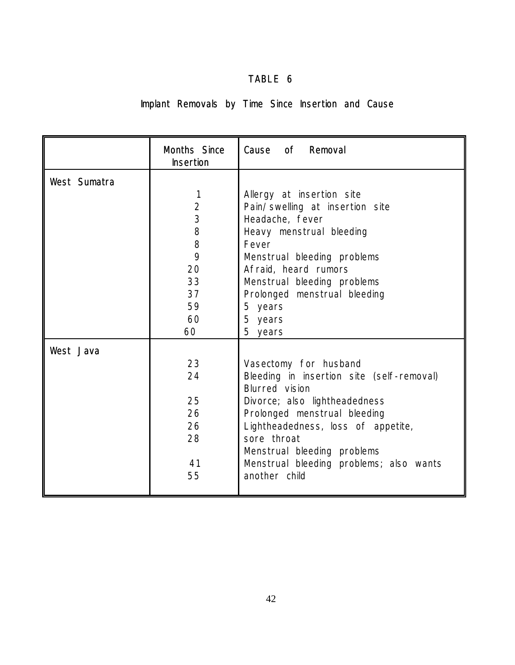## TABLE 6

# Implant Removals by Time Since Insertion and Cause

|                     | <b>Months Since</b><br><b>Insertion</b> | Cause of Removal                          |
|---------------------|-----------------------------------------|-------------------------------------------|
| <b>West Sumatra</b> |                                         |                                           |
|                     | 1                                       | Allergy at insertion site                 |
|                     | $\overline{2}$                          | Pain/swelling at insertion site           |
|                     | $\overline{\mathbf{3}}$                 | Headache, fever                           |
|                     | 8                                       | Heavy menstrual bleeding                  |
|                     | 8                                       | Fever                                     |
|                     | 9                                       | Menstrual bleeding problems               |
|                     | 20                                      | Afraid, heard rumors                      |
|                     | 33                                      | Menstrual bleeding problems               |
|                     | 37                                      | Prolonged menstrual bleeding              |
|                     | 59                                      | 5 years                                   |
|                     | 60                                      | 5 years                                   |
|                     | 60                                      | 5 years                                   |
| <b>West Java</b>    |                                         |                                           |
|                     | 23                                      | Vasectomy for husband                     |
|                     | 24                                      | Bleeding in insertion site (self-removal) |
|                     |                                         | <b>Blurred</b> vision                     |
|                     | 25                                      | Divorce; also lightheadedness             |
|                     | 26                                      | Prolonged menstrual bleeding              |
|                     | 26                                      | Lightheadedness, loss of appetite,        |
|                     | 28                                      | sore throat                               |
|                     |                                         | Menstrual bleeding problems               |
|                     | 41                                      | Menstrual bleeding problems; also wants   |
|                     | 55                                      | another child                             |
|                     |                                         |                                           |